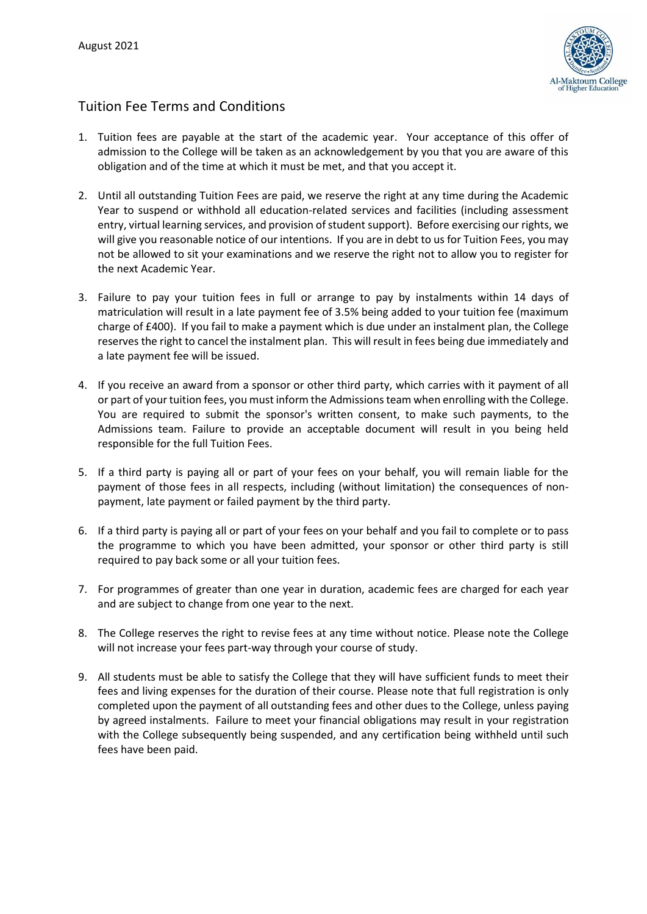

## Tuition Fee Terms and Conditions

- 1. Tuition fees are payable at the start of the academic year. Your acceptance of this offer of admission to the College will be taken as an acknowledgement by you that you are aware of this obligation and of the time at which it must be met, and that you accept it.
- 2. Until all outstanding Tuition Fees are paid, we reserve the right at any time during the Academic Year to suspend or withhold all education-related services and facilities (including assessment entry, virtual learning services, and provision of student support). Before exercising our rights, we will give you reasonable notice of our intentions. If you are in debt to us for Tuition Fees, you may not be allowed to sit your examinations and we reserve the right not to allow you to register for the next Academic Year.
- 3. Failure to pay your tuition fees in full or arrange to pay by instalments within 14 days of matriculation will result in a late payment fee of 3.5% being added to your tuition fee (maximum charge of £400). If you fail to make a payment which is due under an instalment plan, the College reserves the right to cancel the instalment plan. This will result in fees being due immediately and a late payment fee will be issued.
- 4. If you receive an award from a sponsor or other third party, which carries with it payment of all or part of your tuition fees, you must inform the Admissions team when enrolling with the College. You are required to submit the sponsor's written consent, to make such payments, to the Admissions team. Failure to provide an acceptable document will result in you being held responsible for the full Tuition Fees.
- 5. If a third party is paying all or part of your fees on your behalf, you will remain liable for the payment of those fees in all respects, including (without limitation) the consequences of nonpayment, late payment or failed payment by the third party.
- 6. If a third party is paying all or part of your fees on your behalf and you fail to complete or to pass the programme to which you have been admitted, your sponsor or other third party is still required to pay back some or all your tuition fees.
- 7. For programmes of greater than one year in duration, academic fees are charged for each year and are subject to change from one year to the next.
- 8. The College reserves the right to revise fees at any time without notice. Please note the College will not increase your fees part-way through your course of study.
- 9. All students must be able to satisfy the College that they will have sufficient funds to meet their fees and living expenses for the duration of their course. Please note that full registration is only completed upon the payment of all outstanding fees and other dues to the College, unless paying by agreed instalments. Failure to meet your financial obligations may result in your registration with the College subsequently being suspended, and any certification being withheld until such fees have been paid.